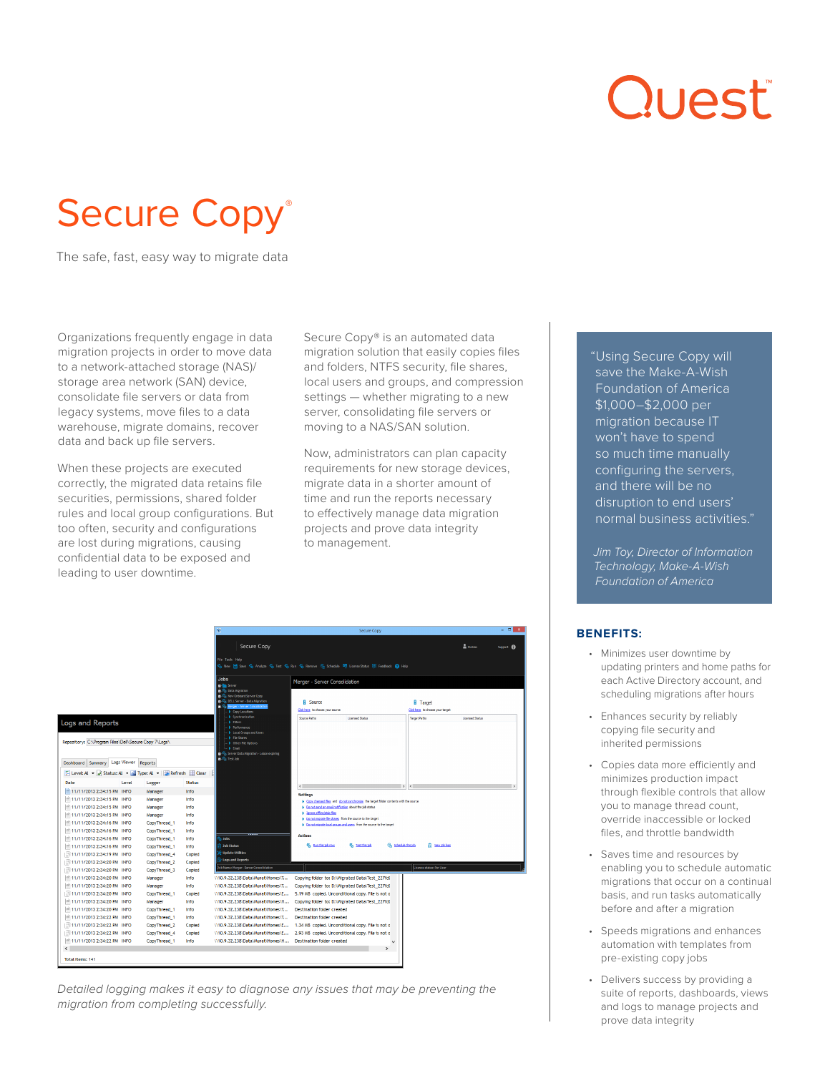# Quest

## Secure Copy<sup>®</sup>

The safe, fast, easy way to migrate data

Organizations frequently engage in data migration projects in order to move data to a network-attached storage (NAS)/ storage area network (SAN) device, consolidate file servers or data from legacy systems, move files to a data warehouse, migrate domains, recover data and back up file servers.

When these projects are executed correctly, the migrated data retains file securities, permissions, shared folder rules and local group configurations. But too often, security and configurations are lost during migrations, causing confidential data to be exposed and leading to user downtime.

Secure Copy® is an automated data migration solution that easily copies files and folders, NTFS security, file shares, local users and groups, and compression settings — whether migrating to a new server, consolidating file servers or moving to a NAS/SAN solution.

Now, administrators can plan capacity requirements for new storage devices, migrate data in a shorter amount of time and run the reports necessary to effectively manage data migration projects and prove data integrity to management.

|                                                                                                                                                                                                                                                                                                                                                                                                                                                                                                                                                                     | 带                                                                                                                                                                                                                                                                                                                                                                                                                                                                                                        | Secure Copy                                                                                                                                                                                                                                                                                                                                                                                                                                                                                                         | $   x$                          |
|---------------------------------------------------------------------------------------------------------------------------------------------------------------------------------------------------------------------------------------------------------------------------------------------------------------------------------------------------------------------------------------------------------------------------------------------------------------------------------------------------------------------------------------------------------------------|----------------------------------------------------------------------------------------------------------------------------------------------------------------------------------------------------------------------------------------------------------------------------------------------------------------------------------------------------------------------------------------------------------------------------------------------------------------------------------------------------------|---------------------------------------------------------------------------------------------------------------------------------------------------------------------------------------------------------------------------------------------------------------------------------------------------------------------------------------------------------------------------------------------------------------------------------------------------------------------------------------------------------------------|---------------------------------|
|                                                                                                                                                                                                                                                                                                                                                                                                                                                                                                                                                                     | Secure Copy<br>File Tools Help                                                                                                                                                                                                                                                                                                                                                                                                                                                                           | 5 New 1 Save 5 Analyze 5 Test 5 Run 5 Remove 6 Schedule 5 License Status 5 Feedback 2 Help                                                                                                                                                                                                                                                                                                                                                                                                                          | a ttobias<br>Support <b>fil</b> |
| Logs and Reports<br>Repository: C:\Program Files\Dell\Secure Copy 7\Logs\                                                                                                                                                                                                                                                                                                                                                                                                                                                                                           | <b>Jobs</b><br><b>B-</b> Server<br><b>n</b> <sup>37</sup> <sub>2</sub> Data Migration<br><b>Key New Ordoard Server Copy</b><br><b>DELL Server - Data Migration</b><br>Sig Merger - Server Consolidation<br>Copy Locations<br><b>b</b> Amphropization<br><b>Filters</b><br>P Performance<br><b>b</b> Local Groups and Users<br><b>J</b> File Shares<br>District File Options<br>> Email<br>Se Server Oata Nigration - Lease expiring<br>in Spitest too                                                    | Merger - Server Consolidation<br><b>H</b> Source<br><b>B</b> Target<br>Click here to choose your source<br>Clokhere to choose your target<br><b>Target Paths</b><br>Source Paths<br>Licensed Status                                                                                                                                                                                                                                                                                                                 | Licensed Status                 |
| Dashboard Summary Logs Viewer<br>Reports<br>F Level: AL - Status: AL - Strype: AL - Streeth Elear<br>Date<br>Level<br>Logger<br>11/11/2013 2:34:15 PM INFO<br>Manager<br>11/11/2013 2:34:15 PM INFO<br>Manager<br>11/11/2013 2:34:15 PM INFO<br>Manager<br>11/11/2013 2:34:15 PM INFO<br>Manager<br>11/11/2013 2:34:16 PM INFO<br>CopyThread 1<br>11/11/2013 2:34:16 PM INFO<br>CopyThread_1<br>11/11/2013 2:34:16 PM INFO<br>CopyThread 1<br>11/11/2013 2:34:16 PM INFO<br>CopyThread 1<br>11/11/2013 2:34:19 PM INFO<br>CopyThread 4                              | <b>Status</b><br>Info<br>Info<br>Info<br>Info<br>Info<br>Info<br>n tahu<br>Info<br><b>Job Status</b><br>Info<br>Undate Utilities<br>Copied                                                                                                                                                                                                                                                                                                                                                               | $\epsilon$<br>$\,$<br>$\leq$<br><b>Settings</b><br>> Copy changed files and do not synchronize the target folder contents with the source<br>> Do not send an email notification about the sob status<br>In Tonore offine/stub fles<br>> Do not migrate file shares from the source to the target<br>> Do not migrate local groups and users from the source to the target<br><b>Actions</b><br>5% Run this job now<br><b>G.</b> Test this job<br><b>C</b> <sub>n</sub> Schedule this job<br><b>Et Yew job logs</b> |                                 |
| 11/11/2013 2:34:20 PM INFO<br>CopyThread <sub>2</sub><br>11/11/2013 2:34:20 PM INFO<br>CopyThread 3<br>11/11/2013 2:34:20 PM INFO<br>Manager<br>11/11/2013 2:34:20 PM INFO<br>Manager<br>11/11/2013 2:34:20 PM INFO<br>CopyThread 1<br>11/11/2013 2:34:20 PM INFO<br>Manager<br>■ 11/11/2013 2:34:20 PM INFO<br>CopyThread 1<br>11/11/2013 2:34:22 PM INFO<br>CopyThread_1<br>11/11/2013 2:34:22 PM INFO<br>CopyThread <sub>2</sub><br>11/11/2013 2:34:22 PM INFO<br>CopyThread_4<br>■ 11/11/2013 2:34:22 PM INFO<br>CopyThread 1<br>$\epsilon$<br>Total items: 141 | <b>Logs and Reports</b><br>Copied<br>Job Name: Merger - Server Consolidation<br>Copied<br>Info<br>\\10.9.32.238\Data\Murat\Homes\T<br>Info<br>\\10.9.32.238\Data\Murat\Homes\T<br>\\10.9.32.238\Data\Murat\Homes\E<br>Copied<br>Info<br>\\10.9.32.238\Data\Murat\Homes\H<br>\\10.9.32.238\Data\Murat\Homes\T<br>Info<br>\\10.9.32.238\Data\Murat\Homes\T<br>Info<br>Copied<br>\\10.9.32.238\Data\Murat\Homes\E<br>\\10.9.32.238\Data\Murat\Homes\E<br>Copied<br>\\10.9.32.238\Data\Murat\Homes\H<br>Info | License status: Per User<br>Copying folder to: D:\Migrated Data\Test 227fd(<br>Copying folder to: D:\Migrated Data\Test_227fd(<br>5.19 MB copied. Unconditional copy. File is not o<br>Copying folder to: D:\Migrated Data\Test_227fd(<br><b>Destination folder created</b><br><b>Destination folder created</b><br>1.34 MB copied. Unconditional copy. File is not o<br>2.93 MB copied. Unconditional copy. File is not o<br><b>Destination folder created</b><br>u                                                |                                 |

*Detailed logging makes it easy to diagnose any issues that may be preventing the migration from completing successfully.*

"Using Secure Copy will save the Make-A-Wish Foundation of America \$1,000–\$2,000 per migration because IT won't have to spend so much time manually configuring the servers, and there will be no disruption to end users' normal business activities."

*Jim Toy, Director of Information Technology, Make-A-Wish Foundation of America*

#### **BENEFITS:**

- Minimizes user downtime by updating printers and home paths for each Active Directory account, and scheduling migrations after hours
- Enhances security by reliably copying file security and inherited permissions
- Copies data more efficiently and minimizes production impact through flexible controls that allow you to manage thread count, override inaccessible or locked files, and throttle bandwidth
- Saves time and resources by enabling you to schedule automatic migrations that occur on a continual basis, and run tasks automatically before and after a migration
- Speeds migrations and enhances automation with templates from pre-existing copy jobs
- Delivers success by providing a suite of reports, dashboards, views and logs to manage projects and prove data integrity